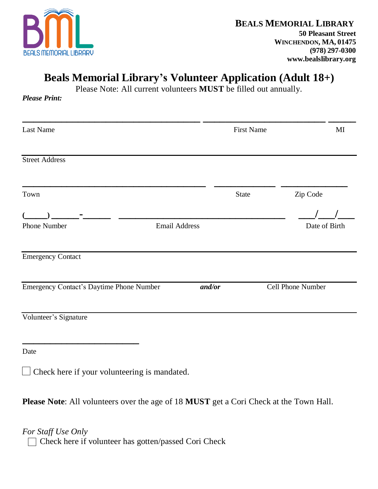

# **Beals Memorial Library's Volunteer Application (Adult 18+)**

Please Note: All current volunteers **MUST** be filled out annually.

*Please Print:*

| <b>Last Name</b>                         |                      | <b>First Name</b> | MI                       |
|------------------------------------------|----------------------|-------------------|--------------------------|
| <b>Street Address</b>                    |                      |                   |                          |
| Town                                     |                      | <b>State</b>      | Zip Code                 |
| Phone Number                             | <b>Email Address</b> |                   | Date of Birth            |
|                                          |                      |                   |                          |
| <b>Emergency Contact</b>                 |                      |                   |                          |
| Emergency Contact's Daytime Phone Number | and/or               |                   | <b>Cell Phone Number</b> |
| Volunteer's Signature                    |                      |                   |                          |

Date

Check here if your volunteering is mandated.

**\_\_\_\_\_\_\_\_\_\_\_\_\_\_\_\_\_\_\_\_\_** 

**Please Note**: All volunteers over the age of 18 **MUST** get a Cori Check at the Town Hall.

*For Staff Use Only*

Check here if volunteer has gotten/passed Cori Check